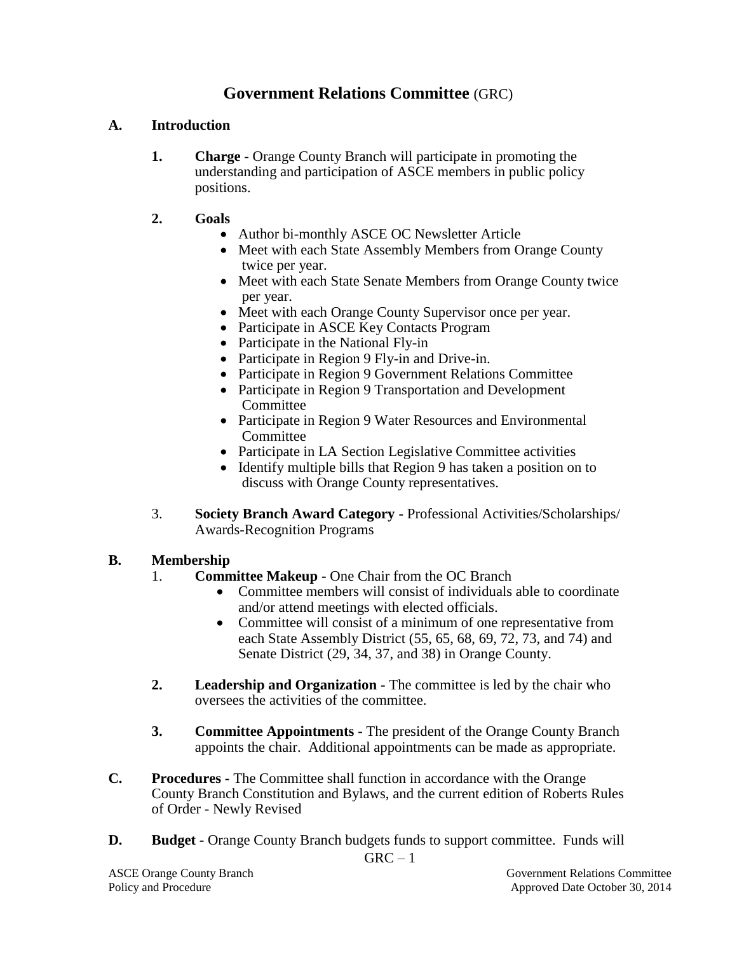## **Government Relations Committee** (GRC)

## **A. Introduction**

**1. Charge** - Orange County Branch will participate in promoting the understanding and participation of ASCE members in public policy positions.

## **2. Goals**

- Author bi-monthly ASCE OC Newsletter Article
- Meet with each State Assembly Members from Orange County twice per year.
- Meet with each State Senate Members from Orange County twice per year.
- Meet with each Orange County Supervisor once per year.
- Participate in ASCE Key Contacts Program
- Participate in the National Fly-in
- Participate in Region 9 Fly-in and Drive-in.
- Participate in Region 9 Government Relations Committee
- Participate in Region 9 Transportation and Development Committee
- Participate in Region 9 Water Resources and Environmental **Committee**
- Participate in LA Section Legislative Committee activities
- Identify multiple bills that Region 9 has taken a position on to discuss with Orange County representatives.
- 3. **Society Branch Award Category -** Professional Activities/Scholarships/ Awards-Recognition Programs

## **B. Membership**

- 1. **Committee Makeup -** One Chair from the OC Branch
	- Committee members will consist of individuals able to coordinate and/or attend meetings with elected officials.
	- Committee will consist of a minimum of one representative from each State Assembly District (55, 65, 68, 69, 72, 73, and 74) and Senate District (29, 34, 37, and 38) in Orange County.
- **2. Leadership and Organization -** The committee is led by the chair who oversees the activities of the committee.
- **3. Committee Appointments -** The president of the Orange County Branch appoints the chair. Additional appointments can be made as appropriate.
- **C. Procedures -** The Committee shall function in accordance with the Orange County Branch Constitution and Bylaws, and the current edition of Roberts Rules of Order - Newly Revised
- **D. Budget -** Orange County Branch budgets funds to support committee. Funds will